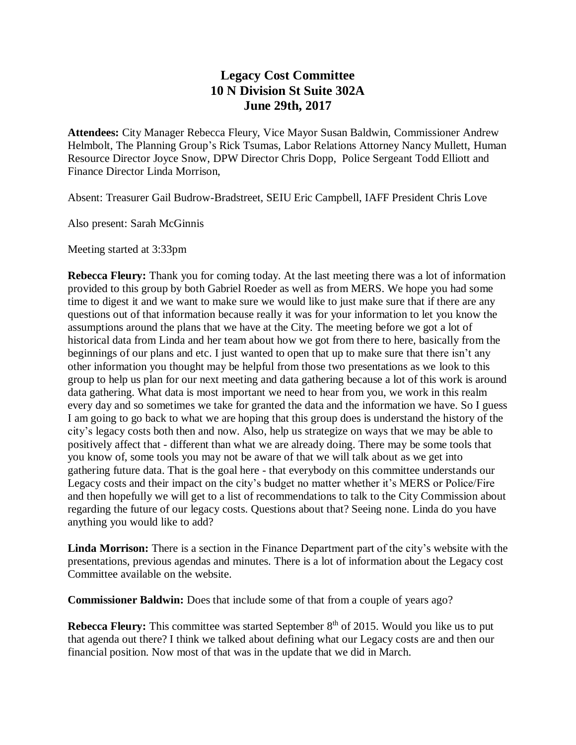## **Legacy Cost Committee 10 N Division St Suite 302A June 29th, 2017**

**Attendees:** City Manager Rebecca Fleury, Vice Mayor Susan Baldwin, Commissioner Andrew Helmbolt, The Planning Group's Rick Tsumas, Labor Relations Attorney Nancy Mullett, Human Resource Director Joyce Snow, DPW Director Chris Dopp, Police Sergeant Todd Elliott and Finance Director Linda Morrison,

Absent: Treasurer Gail Budrow-Bradstreet, SEIU Eric Campbell, IAFF President Chris Love

Also present: Sarah McGinnis

Meeting started at 3:33pm

**Rebecca Fleury:** Thank you for coming today. At the last meeting there was a lot of information provided to this group by both Gabriel Roeder as well as from MERS. We hope you had some time to digest it and we want to make sure we would like to just make sure that if there are any questions out of that information because really it was for your information to let you know the assumptions around the plans that we have at the City. The meeting before we got a lot of historical data from Linda and her team about how we got from there to here, basically from the beginnings of our plans and etc. I just wanted to open that up to make sure that there isn't any other information you thought may be helpful from those two presentations as we look to this group to help us plan for our next meeting and data gathering because a lot of this work is around data gathering. What data is most important we need to hear from you, we work in this realm every day and so sometimes we take for granted the data and the information we have. So I guess I am going to go back to what we are hoping that this group does is understand the history of the city's legacy costs both then and now. Also, help us strategize on ways that we may be able to positively affect that - different than what we are already doing. There may be some tools that you know of, some tools you may not be aware of that we will talk about as we get into gathering future data. That is the goal here - that everybody on this committee understands our Legacy costs and their impact on the city's budget no matter whether it's MERS or Police/Fire and then hopefully we will get to a list of recommendations to talk to the City Commission about regarding the future of our legacy costs. Questions about that? Seeing none. Linda do you have anything you would like to add?

**Linda Morrison:** There is a section in the Finance Department part of the city's website with the presentations, previous agendas and minutes. There is a lot of information about the Legacy cost Committee available on the website.

**Commissioner Baldwin:** Does that include some of that from a couple of years ago?

**Rebecca Fleury:** This committee was started September 8<sup>th</sup> of 2015. Would you like us to put that agenda out there? I think we talked about defining what our Legacy costs are and then our financial position. Now most of that was in the update that we did in March.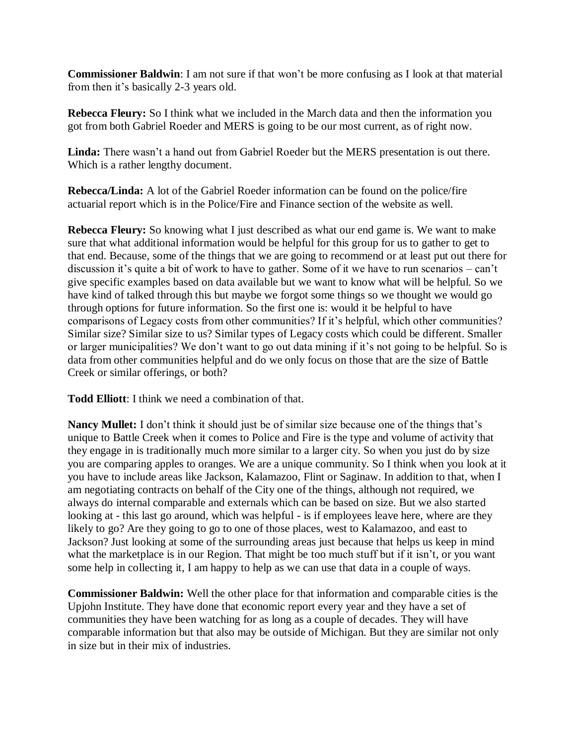**Commissioner Baldwin**: I am not sure if that won't be more confusing as I look at that material from then it's basically 2-3 years old.

**Rebecca Fleury:** So I think what we included in the March data and then the information you got from both Gabriel Roeder and MERS is going to be our most current, as of right now.

**Linda:** There wasn't a hand out from Gabriel Roeder but the MERS presentation is out there. Which is a rather lengthy document.

**Rebecca/Linda:** A lot of the Gabriel Roeder information can be found on the police/fire actuarial report which is in the Police/Fire and Finance section of the website as well.

**Rebecca Fleury:** So knowing what I just described as what our end game is. We want to make sure that what additional information would be helpful for this group for us to gather to get to that end. Because, some of the things that we are going to recommend or at least put out there for discussion it's quite a bit of work to have to gather. Some of it we have to run scenarios – can't give specific examples based on data available but we want to know what will be helpful. So we have kind of talked through this but maybe we forgot some things so we thought we would go through options for future information. So the first one is: would it be helpful to have comparisons of Legacy costs from other communities? If it's helpful, which other communities? Similar size? Similar size to us? Similar types of Legacy costs which could be different. Smaller or larger municipalities? We don't want to go out data mining if it's not going to be helpful. So is data from other communities helpful and do we only focus on those that are the size of Battle Creek or similar offerings, or both?

**Todd Elliott**: I think we need a combination of that.

**Nancy Mullet:** I don't think it should just be of similar size because one of the things that's unique to Battle Creek when it comes to Police and Fire is the type and volume of activity that they engage in is traditionally much more similar to a larger city. So when you just do by size you are comparing apples to oranges. We are a unique community. So I think when you look at it you have to include areas like Jackson, Kalamazoo, Flint or Saginaw. In addition to that, when I am negotiating contracts on behalf of the City one of the things, although not required, we always do internal comparable and externals which can be based on size. But we also started looking at - this last go around, which was helpful - is if employees leave here, where are they likely to go? Are they going to go to one of those places, west to Kalamazoo, and east to Jackson? Just looking at some of the surrounding areas just because that helps us keep in mind what the marketplace is in our Region. That might be too much stuff but if it isn't, or you want some help in collecting it, I am happy to help as we can use that data in a couple of ways.

**Commissioner Baldwin:** Well the other place for that information and comparable cities is the Upjohn Institute. They have done that economic report every year and they have a set of communities they have been watching for as long as a couple of decades. They will have comparable information but that also may be outside of Michigan. But they are similar not only in size but in their mix of industries.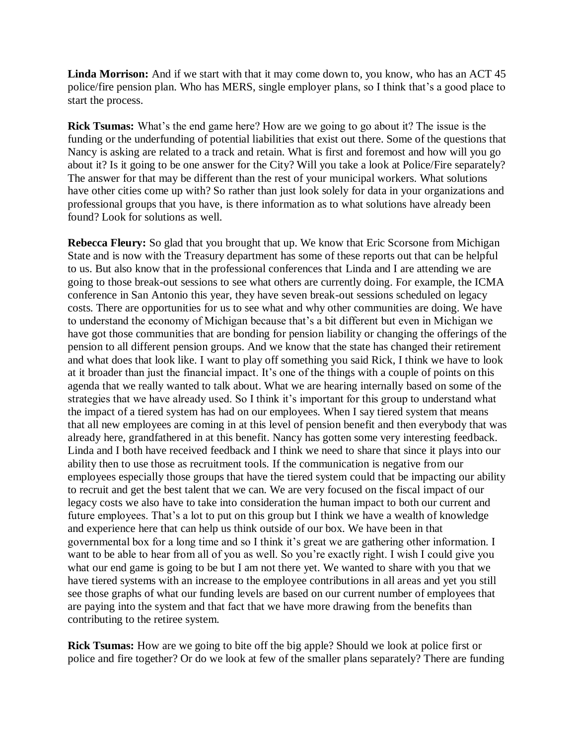**Linda Morrison:** And if we start with that it may come down to, you know, who has an ACT 45 police/fire pension plan. Who has MERS, single employer plans, so I think that's a good place to start the process.

**Rick Tsumas:** What's the end game here? How are we going to go about it? The issue is the funding or the underfunding of potential liabilities that exist out there. Some of the questions that Nancy is asking are related to a track and retain. What is first and foremost and how will you go about it? Is it going to be one answer for the City? Will you take a look at Police/Fire separately? The answer for that may be different than the rest of your municipal workers. What solutions have other cities come up with? So rather than just look solely for data in your organizations and professional groups that you have, is there information as to what solutions have already been found? Look for solutions as well.

**Rebecca Fleury:** So glad that you brought that up. We know that Eric Scorsone from Michigan State and is now with the Treasury department has some of these reports out that can be helpful to us. But also know that in the professional conferences that Linda and I are attending we are going to those break-out sessions to see what others are currently doing. For example, the ICMA conference in San Antonio this year, they have seven break-out sessions scheduled on legacy costs. There are opportunities for us to see what and why other communities are doing. We have to understand the economy of Michigan because that's a bit different but even in Michigan we have got those communities that are bonding for pension liability or changing the offerings of the pension to all different pension groups. And we know that the state has changed their retirement and what does that look like. I want to play off something you said Rick, I think we have to look at it broader than just the financial impact. It's one of the things with a couple of points on this agenda that we really wanted to talk about. What we are hearing internally based on some of the strategies that we have already used. So I think it's important for this group to understand what the impact of a tiered system has had on our employees. When I say tiered system that means that all new employees are coming in at this level of pension benefit and then everybody that was already here, grandfathered in at this benefit. Nancy has gotten some very interesting feedback. Linda and I both have received feedback and I think we need to share that since it plays into our ability then to use those as recruitment tools. If the communication is negative from our employees especially those groups that have the tiered system could that be impacting our ability to recruit and get the best talent that we can. We are very focused on the fiscal impact of our legacy costs we also have to take into consideration the human impact to both our current and future employees. That's a lot to put on this group but I think we have a wealth of knowledge and experience here that can help us think outside of our box. We have been in that governmental box for a long time and so I think it's great we are gathering other information. I want to be able to hear from all of you as well. So you're exactly right. I wish I could give you what our end game is going to be but I am not there yet. We wanted to share with you that we have tiered systems with an increase to the employee contributions in all areas and yet you still see those graphs of what our funding levels are based on our current number of employees that are paying into the system and that fact that we have more drawing from the benefits than contributing to the retiree system.

**Rick Tsumas:** How are we going to bite off the big apple? Should we look at police first or police and fire together? Or do we look at few of the smaller plans separately? There are funding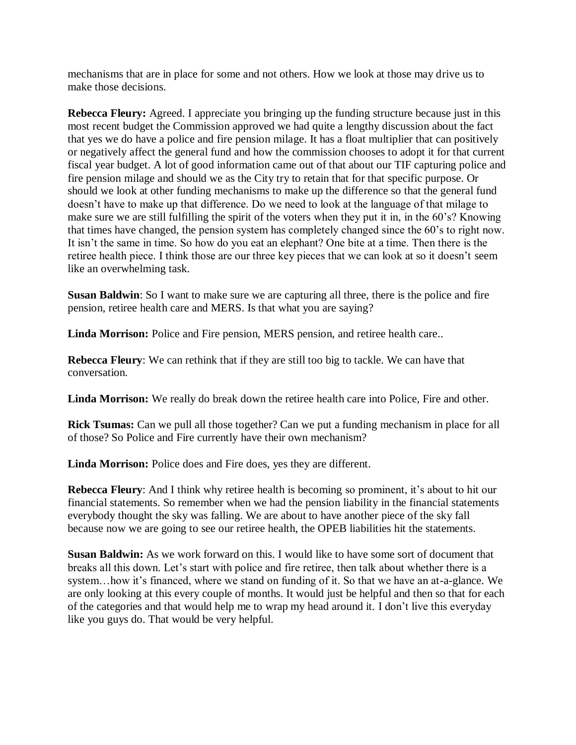mechanisms that are in place for some and not others. How we look at those may drive us to make those decisions.

**Rebecca Fleury:** Agreed. I appreciate you bringing up the funding structure because just in this most recent budget the Commission approved we had quite a lengthy discussion about the fact that yes we do have a police and fire pension milage. It has a float multiplier that can positively or negatively affect the general fund and how the commission chooses to adopt it for that current fiscal year budget. A lot of good information came out of that about our TIF capturing police and fire pension milage and should we as the City try to retain that for that specific purpose. Or should we look at other funding mechanisms to make up the difference so that the general fund doesn't have to make up that difference. Do we need to look at the language of that milage to make sure we are still fulfilling the spirit of the voters when they put it in, in the 60's? Knowing that times have changed, the pension system has completely changed since the 60's to right now. It isn't the same in time. So how do you eat an elephant? One bite at a time. Then there is the retiree health piece. I think those are our three key pieces that we can look at so it doesn't seem like an overwhelming task.

**Susan Baldwin**: So I want to make sure we are capturing all three, there is the police and fire pension, retiree health care and MERS. Is that what you are saying?

**Linda Morrison:** Police and Fire pension, MERS pension, and retiree health care..

**Rebecca Fleury**: We can rethink that if they are still too big to tackle. We can have that conversation.

**Linda Morrison:** We really do break down the retiree health care into Police, Fire and other.

**Rick Tsumas:** Can we pull all those together? Can we put a funding mechanism in place for all of those? So Police and Fire currently have their own mechanism?

**Linda Morrison:** Police does and Fire does, yes they are different.

**Rebecca Fleury**: And I think why retiree health is becoming so prominent, it's about to hit our financial statements. So remember when we had the pension liability in the financial statements everybody thought the sky was falling. We are about to have another piece of the sky fall because now we are going to see our retiree health, the OPEB liabilities hit the statements.

**Susan Baldwin:** As we work forward on this. I would like to have some sort of document that breaks all this down. Let's start with police and fire retiree, then talk about whether there is a system…how it's financed, where we stand on funding of it. So that we have an at-a-glance. We are only looking at this every couple of months. It would just be helpful and then so that for each of the categories and that would help me to wrap my head around it. I don't live this everyday like you guys do. That would be very helpful.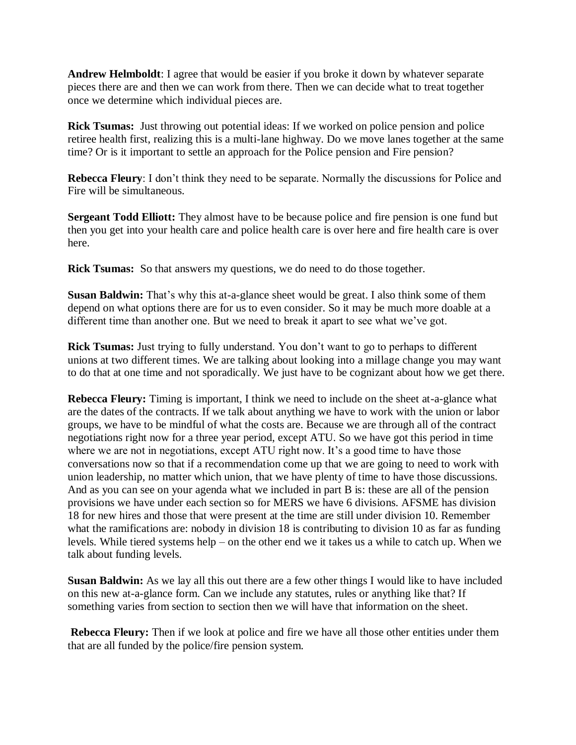**Andrew Helmboldt**: I agree that would be easier if you broke it down by whatever separate pieces there are and then we can work from there. Then we can decide what to treat together once we determine which individual pieces are.

**Rick Tsumas:** Just throwing out potential ideas: If we worked on police pension and police retiree health first, realizing this is a multi-lane highway. Do we move lanes together at the same time? Or is it important to settle an approach for the Police pension and Fire pension?

**Rebecca Fleury**: I don't think they need to be separate. Normally the discussions for Police and Fire will be simultaneous.

**Sergeant Todd Elliott:** They almost have to be because police and fire pension is one fund but then you get into your health care and police health care is over here and fire health care is over here.

**Rick Tsumas:** So that answers my questions, we do need to do those together.

**Susan Baldwin:** That's why this at-a-glance sheet would be great. I also think some of them depend on what options there are for us to even consider. So it may be much more doable at a different time than another one. But we need to break it apart to see what we've got.

**Rick Tsumas:** Just trying to fully understand. You don't want to go to perhaps to different unions at two different times. We are talking about looking into a millage change you may want to do that at one time and not sporadically. We just have to be cognizant about how we get there.

**Rebecca Fleury:** Timing is important, I think we need to include on the sheet at-a-glance what are the dates of the contracts. If we talk about anything we have to work with the union or labor groups, we have to be mindful of what the costs are. Because we are through all of the contract negotiations right now for a three year period, except ATU. So we have got this period in time where we are not in negotiations, except ATU right now. It's a good time to have those conversations now so that if a recommendation come up that we are going to need to work with union leadership, no matter which union, that we have plenty of time to have those discussions. And as you can see on your agenda what we included in part B is: these are all of the pension provisions we have under each section so for MERS we have 6 divisions. AFSME has division 18 for new hires and those that were present at the time are still under division 10. Remember what the ramifications are: nobody in division 18 is contributing to division 10 as far as funding levels. While tiered systems help – on the other end we it takes us a while to catch up. When we talk about funding levels.

**Susan Baldwin:** As we lay all this out there are a few other things I would like to have included on this new at-a-glance form. Can we include any statutes, rules or anything like that? If something varies from section to section then we will have that information on the sheet.

**Rebecca Fleury:** Then if we look at police and fire we have all those other entities under them that are all funded by the police/fire pension system.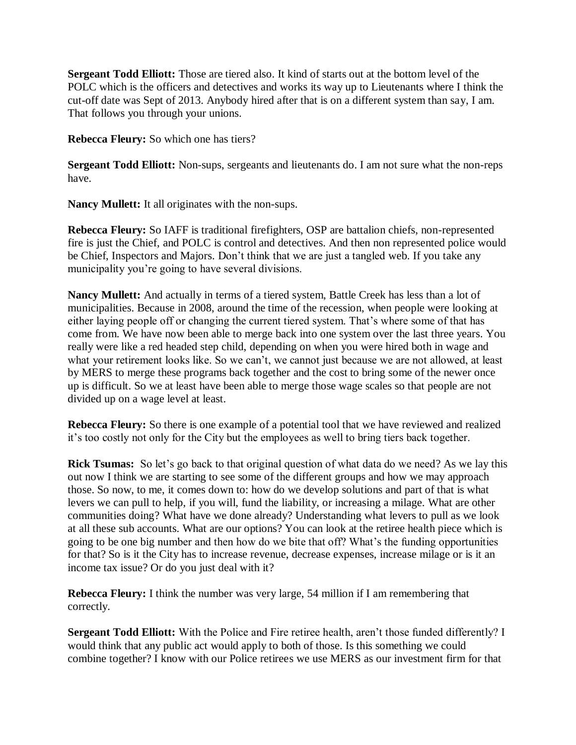**Sergeant Todd Elliott:** Those are tiered also. It kind of starts out at the bottom level of the POLC which is the officers and detectives and works its way up to Lieutenants where I think the cut-off date was Sept of 2013. Anybody hired after that is on a different system than say, I am. That follows you through your unions.

**Rebecca Fleury:** So which one has tiers?

**Sergeant Todd Elliott:** Non-sups, sergeants and lieutenants do. I am not sure what the non-reps have.

**Nancy Mullett:** It all originates with the non-sups.

**Rebecca Fleury:** So IAFF is traditional firefighters, OSP are battalion chiefs, non-represented fire is just the Chief, and POLC is control and detectives. And then non represented police would be Chief, Inspectors and Majors. Don't think that we are just a tangled web. If you take any municipality you're going to have several divisions.

**Nancy Mullett:** And actually in terms of a tiered system, Battle Creek has less than a lot of municipalities. Because in 2008, around the time of the recession, when people were looking at either laying people off or changing the current tiered system. That's where some of that has come from. We have now been able to merge back into one system over the last three years. You really were like a red headed step child, depending on when you were hired both in wage and what your retirement looks like. So we can't, we cannot just because we are not allowed, at least by MERS to merge these programs back together and the cost to bring some of the newer once up is difficult. So we at least have been able to merge those wage scales so that people are not divided up on a wage level at least.

**Rebecca Fleury:** So there is one example of a potential tool that we have reviewed and realized it's too costly not only for the City but the employees as well to bring tiers back together.

**Rick Tsumas:** So let's go back to that original question of what data do we need? As we lay this out now I think we are starting to see some of the different groups and how we may approach those. So now, to me, it comes down to: how do we develop solutions and part of that is what levers we can pull to help, if you will, fund the liability, or increasing a milage. What are other communities doing? What have we done already? Understanding what levers to pull as we look at all these sub accounts. What are our options? You can look at the retiree health piece which is going to be one big number and then how do we bite that off? What's the funding opportunities for that? So is it the City has to increase revenue, decrease expenses, increase milage or is it an income tax issue? Or do you just deal with it?

**Rebecca Fleury:** I think the number was very large, 54 million if I am remembering that correctly.

**Sergeant Todd Elliott:** With the Police and Fire retiree health, aren't those funded differently? I would think that any public act would apply to both of those. Is this something we could combine together? I know with our Police retirees we use MERS as our investment firm for that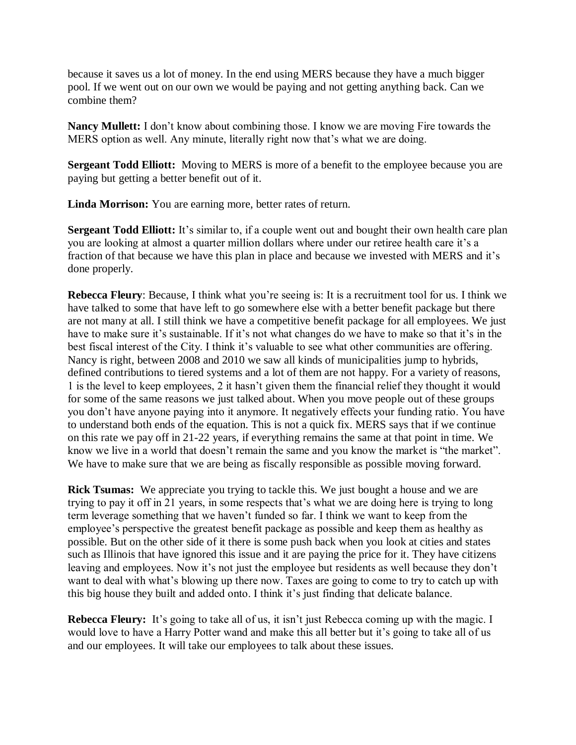because it saves us a lot of money. In the end using MERS because they have a much bigger pool. If we went out on our own we would be paying and not getting anything back. Can we combine them?

**Nancy Mullett:** I don't know about combining those. I know we are moving Fire towards the MERS option as well. Any minute, literally right now that's what we are doing.

**Sergeant Todd Elliott:** Moving to MERS is more of a benefit to the employee because you are paying but getting a better benefit out of it.

**Linda Morrison:** You are earning more, better rates of return.

**Sergeant Todd Elliott:** It's similar to, if a couple went out and bought their own health care plan you are looking at almost a quarter million dollars where under our retiree health care it's a fraction of that because we have this plan in place and because we invested with MERS and it's done properly.

**Rebecca Fleury**: Because, I think what you're seeing is: It is a recruitment tool for us. I think we have talked to some that have left to go somewhere else with a better benefit package but there are not many at all. I still think we have a competitive benefit package for all employees. We just have to make sure it's sustainable. If it's not what changes do we have to make so that it's in the best fiscal interest of the City. I think it's valuable to see what other communities are offering. Nancy is right, between 2008 and 2010 we saw all kinds of municipalities jump to hybrids, defined contributions to tiered systems and a lot of them are not happy. For a variety of reasons, 1 is the level to keep employees, 2 it hasn't given them the financial relief they thought it would for some of the same reasons we just talked about. When you move people out of these groups you don't have anyone paying into it anymore. It negatively effects your funding ratio. You have to understand both ends of the equation. This is not a quick fix. MERS says that if we continue on this rate we pay off in 21-22 years, if everything remains the same at that point in time. We know we live in a world that doesn't remain the same and you know the market is "the market". We have to make sure that we are being as fiscally responsible as possible moving forward.

**Rick Tsumas:** We appreciate you trying to tackle this. We just bought a house and we are trying to pay it off in 21 years, in some respects that's what we are doing here is trying to long term leverage something that we haven't funded so far. I think we want to keep from the employee's perspective the greatest benefit package as possible and keep them as healthy as possible. But on the other side of it there is some push back when you look at cities and states such as Illinois that have ignored this issue and it are paying the price for it. They have citizens leaving and employees. Now it's not just the employee but residents as well because they don't want to deal with what's blowing up there now. Taxes are going to come to try to catch up with this big house they built and added onto. I think it's just finding that delicate balance.

**Rebecca Fleury:** It's going to take all of us, it isn't just Rebecca coming up with the magic. I would love to have a Harry Potter wand and make this all better but it's going to take all of us and our employees. It will take our employees to talk about these issues.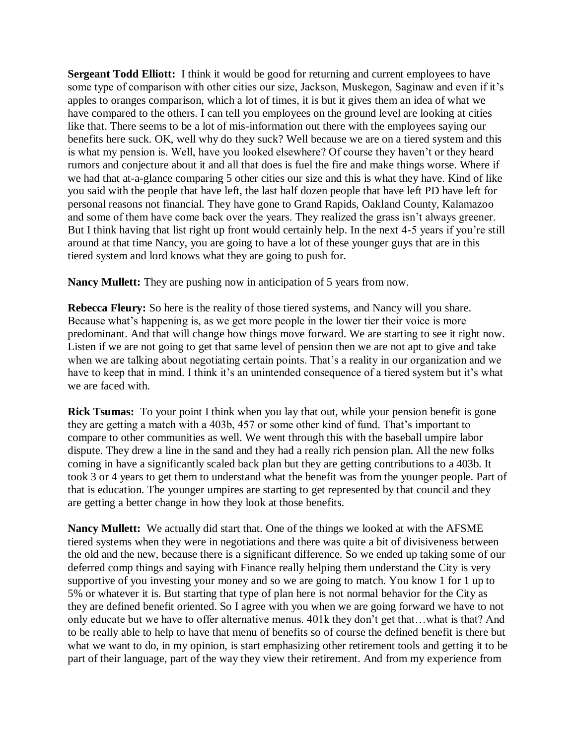**Sergeant Todd Elliott:** I think it would be good for returning and current employees to have some type of comparison with other cities our size, Jackson, Muskegon, Saginaw and even if it's apples to oranges comparison, which a lot of times, it is but it gives them an idea of what we have compared to the others. I can tell you employees on the ground level are looking at cities like that. There seems to be a lot of mis-information out there with the employees saying our benefits here suck. OK, well why do they suck? Well because we are on a tiered system and this is what my pension is. Well, have you looked elsewhere? Of course they haven't or they heard rumors and conjecture about it and all that does is fuel the fire and make things worse. Where if we had that at-a-glance comparing 5 other cities our size and this is what they have. Kind of like you said with the people that have left, the last half dozen people that have left PD have left for personal reasons not financial. They have gone to Grand Rapids, Oakland County, Kalamazoo and some of them have come back over the years. They realized the grass isn't always greener. But I think having that list right up front would certainly help. In the next 4-5 years if you're still around at that time Nancy, you are going to have a lot of these younger guys that are in this tiered system and lord knows what they are going to push for.

**Nancy Mullett:** They are pushing now in anticipation of 5 years from now.

**Rebecca Fleury:** So here is the reality of those tiered systems, and Nancy will you share. Because what's happening is, as we get more people in the lower tier their voice is more predominant. And that will change how things move forward. We are starting to see it right now. Listen if we are not going to get that same level of pension then we are not apt to give and take when we are talking about negotiating certain points. That's a reality in our organization and we have to keep that in mind. I think it's an unintended consequence of a tiered system but it's what we are faced with.

**Rick Tsumas:** To your point I think when you lay that out, while your pension benefit is gone they are getting a match with a 403b, 457 or some other kind of fund. That's important to compare to other communities as well. We went through this with the baseball umpire labor dispute. They drew a line in the sand and they had a really rich pension plan. All the new folks coming in have a significantly scaled back plan but they are getting contributions to a 403b. It took 3 or 4 years to get them to understand what the benefit was from the younger people. Part of that is education. The younger umpires are starting to get represented by that council and they are getting a better change in how they look at those benefits.

**Nancy Mullett:** We actually did start that. One of the things we looked at with the AFSME tiered systems when they were in negotiations and there was quite a bit of divisiveness between the old and the new, because there is a significant difference. So we ended up taking some of our deferred comp things and saying with Finance really helping them understand the City is very supportive of you investing your money and so we are going to match. You know 1 for 1 up to 5% or whatever it is. But starting that type of plan here is not normal behavior for the City as they are defined benefit oriented. So I agree with you when we are going forward we have to not only educate but we have to offer alternative menus. 401k they don't get that…what is that? And to be really able to help to have that menu of benefits so of course the defined benefit is there but what we want to do, in my opinion, is start emphasizing other retirement tools and getting it to be part of their language, part of the way they view their retirement. And from my experience from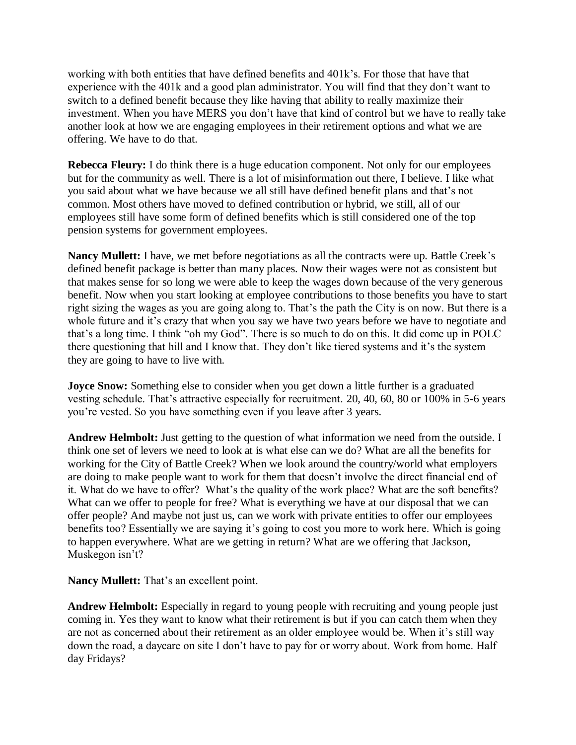working with both entities that have defined benefits and 401k's. For those that have that experience with the 401k and a good plan administrator. You will find that they don't want to switch to a defined benefit because they like having that ability to really maximize their investment. When you have MERS you don't have that kind of control but we have to really take another look at how we are engaging employees in their retirement options and what we are offering. We have to do that.

**Rebecca Fleury:** I do think there is a huge education component. Not only for our employees but for the community as well. There is a lot of misinformation out there, I believe. I like what you said about what we have because we all still have defined benefit plans and that's not common. Most others have moved to defined contribution or hybrid, we still, all of our employees still have some form of defined benefits which is still considered one of the top pension systems for government employees.

**Nancy Mullett:** I have, we met before negotiations as all the contracts were up. Battle Creek's defined benefit package is better than many places. Now their wages were not as consistent but that makes sense for so long we were able to keep the wages down because of the very generous benefit. Now when you start looking at employee contributions to those benefits you have to start right sizing the wages as you are going along to. That's the path the City is on now. But there is a whole future and it's crazy that when you say we have two years before we have to negotiate and that's a long time. I think "oh my God". There is so much to do on this. It did come up in POLC there questioning that hill and I know that. They don't like tiered systems and it's the system they are going to have to live with.

**Joyce Snow:** Something else to consider when you get down a little further is a graduated vesting schedule. That's attractive especially for recruitment. 20, 40, 60, 80 or 100% in 5-6 years you're vested. So you have something even if you leave after 3 years.

**Andrew Helmbolt:** Just getting to the question of what information we need from the outside. I think one set of levers we need to look at is what else can we do? What are all the benefits for working for the City of Battle Creek? When we look around the country/world what employers are doing to make people want to work for them that doesn't involve the direct financial end of it. What do we have to offer? What's the quality of the work place? What are the soft benefits? What can we offer to people for free? What is everything we have at our disposal that we can offer people? And maybe not just us, can we work with private entities to offer our employees benefits too? Essentially we are saying it's going to cost you more to work here. Which is going to happen everywhere. What are we getting in return? What are we offering that Jackson, Muskegon isn't?

**Nancy Mullett:** That's an excellent point.

**Andrew Helmbolt:** Especially in regard to young people with recruiting and young people just coming in. Yes they want to know what their retirement is but if you can catch them when they are not as concerned about their retirement as an older employee would be. When it's still way down the road, a daycare on site I don't have to pay for or worry about. Work from home. Half day Fridays?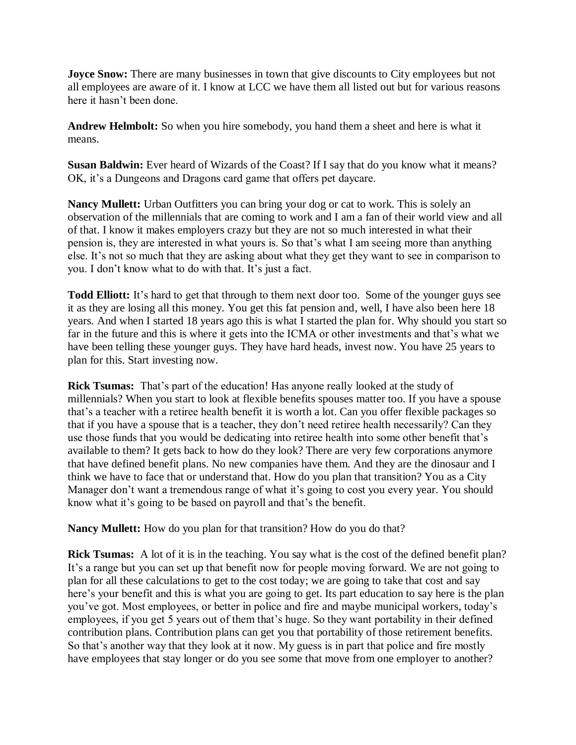**Joyce Snow:** There are many businesses in town that give discounts to City employees but not all employees are aware of it. I know at LCC we have them all listed out but for various reasons here it hasn't been done.

**Andrew Helmbolt:** So when you hire somebody, you hand them a sheet and here is what it means.

**Susan Baldwin:** Ever heard of Wizards of the Coast? If I say that do you know what it means? OK, it's a Dungeons and Dragons card game that offers pet daycare.

**Nancy Mullett:** Urban Outfitters you can bring your dog or cat to work. This is solely an observation of the millennials that are coming to work and I am a fan of their world view and all of that. I know it makes employers crazy but they are not so much interested in what their pension is, they are interested in what yours is. So that's what I am seeing more than anything else. It's not so much that they are asking about what they get they want to see in comparison to you. I don't know what to do with that. It's just a fact.

**Todd Elliott:** It's hard to get that through to them next door too. Some of the younger guys see it as they are losing all this money. You get this fat pension and, well, I have also been here 18 years. And when I started 18 years ago this is what I started the plan for. Why should you start so far in the future and this is where it gets into the ICMA or other investments and that's what we have been telling these younger guys. They have hard heads, invest now. You have 25 years to plan for this. Start investing now.

**Rick Tsumas:** That's part of the education! Has anyone really looked at the study of millennials? When you start to look at flexible benefits spouses matter too. If you have a spouse that's a teacher with a retiree health benefit it is worth a lot. Can you offer flexible packages so that if you have a spouse that is a teacher, they don't need retiree health necessarily? Can they use those funds that you would be dedicating into retiree health into some other benefit that's available to them? It gets back to how do they look? There are very few corporations anymore that have defined benefit plans. No new companies have them. And they are the dinosaur and I think we have to face that or understand that. How do you plan that transition? You as a City Manager don't want a tremendous range of what it's going to cost you every year. You should know what it's going to be based on payroll and that's the benefit.

**Nancy Mullett:** How do you plan for that transition? How do you do that?

**Rick Tsumas:** A lot of it is in the teaching. You say what is the cost of the defined benefit plan? It's a range but you can set up that benefit now for people moving forward. We are not going to plan for all these calculations to get to the cost today; we are going to take that cost and say here's your benefit and this is what you are going to get. Its part education to say here is the plan you've got. Most employees, or better in police and fire and maybe municipal workers, today's employees, if you get 5 years out of them that's huge. So they want portability in their defined contribution plans. Contribution plans can get you that portability of those retirement benefits. So that's another way that they look at it now. My guess is in part that police and fire mostly have employees that stay longer or do you see some that move from one employer to another?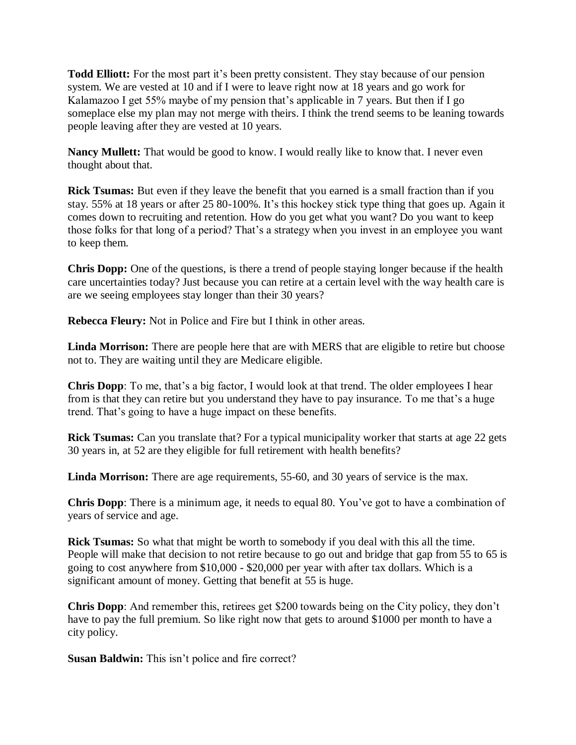**Todd Elliott:** For the most part it's been pretty consistent. They stay because of our pension system. We are vested at 10 and if I were to leave right now at 18 years and go work for Kalamazoo I get 55% maybe of my pension that's applicable in 7 years. But then if I go someplace else my plan may not merge with theirs. I think the trend seems to be leaning towards people leaving after they are vested at 10 years.

**Nancy Mullett:** That would be good to know. I would really like to know that. I never even thought about that.

**Rick Tsumas:** But even if they leave the benefit that you earned is a small fraction than if you stay. 55% at 18 years or after 25 80-100%. It's this hockey stick type thing that goes up. Again it comes down to recruiting and retention. How do you get what you want? Do you want to keep those folks for that long of a period? That's a strategy when you invest in an employee you want to keep them.

**Chris Dopp:** One of the questions, is there a trend of people staying longer because if the health care uncertainties today? Just because you can retire at a certain level with the way health care is are we seeing employees stay longer than their 30 years?

**Rebecca Fleury:** Not in Police and Fire but I think in other areas.

**Linda Morrison:** There are people here that are with MERS that are eligible to retire but choose not to. They are waiting until they are Medicare eligible.

**Chris Dopp**: To me, that's a big factor, I would look at that trend. The older employees I hear from is that they can retire but you understand they have to pay insurance. To me that's a huge trend. That's going to have a huge impact on these benefits.

**Rick Tsumas:** Can you translate that? For a typical municipality worker that starts at age 22 gets 30 years in, at 52 are they eligible for full retirement with health benefits?

**Linda Morrison:** There are age requirements, 55-60, and 30 years of service is the max.

**Chris Dopp**: There is a minimum age, it needs to equal 80. You've got to have a combination of years of service and age.

**Rick Tsumas:** So what that might be worth to somebody if you deal with this all the time. People will make that decision to not retire because to go out and bridge that gap from 55 to 65 is going to cost anywhere from \$10,000 - \$20,000 per year with after tax dollars. Which is a significant amount of money. Getting that benefit at 55 is huge.

**Chris Dopp**: And remember this, retirees get \$200 towards being on the City policy, they don't have to pay the full premium. So like right now that gets to around \$1000 per month to have a city policy.

**Susan Baldwin:** This isn't police and fire correct?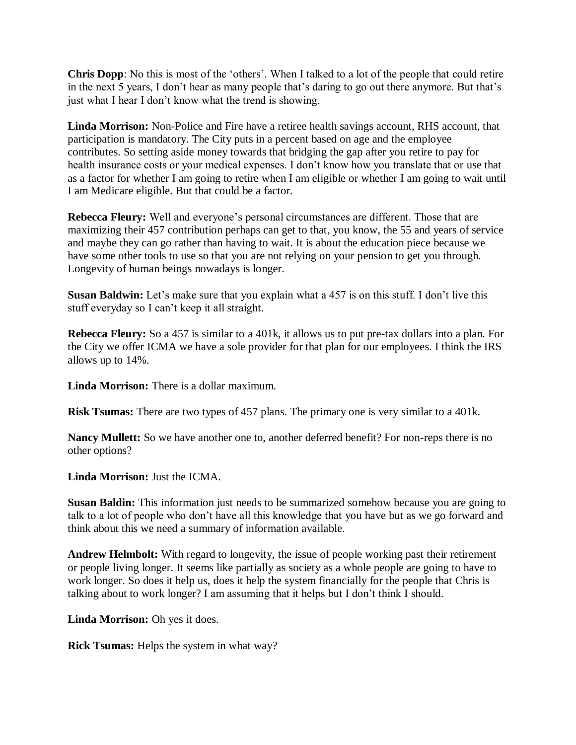**Chris Dopp**: No this is most of the 'others'. When I talked to a lot of the people that could retire in the next 5 years, I don't hear as many people that's daring to go out there anymore. But that's just what I hear I don't know what the trend is showing.

**Linda Morrison:** Non-Police and Fire have a retiree health savings account, RHS account, that participation is mandatory. The City puts in a percent based on age and the employee contributes. So setting aside money towards that bridging the gap after you retire to pay for health insurance costs or your medical expenses. I don't know how you translate that or use that as a factor for whether I am going to retire when I am eligible or whether I am going to wait until I am Medicare eligible. But that could be a factor.

**Rebecca Fleury:** Well and everyone's personal circumstances are different. Those that are maximizing their 457 contribution perhaps can get to that, you know, the 55 and years of service and maybe they can go rather than having to wait. It is about the education piece because we have some other tools to use so that you are not relying on your pension to get you through. Longevity of human beings nowadays is longer.

**Susan Baldwin:** Let's make sure that you explain what a 457 is on this stuff. I don't live this stuff everyday so I can't keep it all straight.

**Rebecca Fleury:** So a 457 is similar to a 401k, it allows us to put pre-tax dollars into a plan. For the City we offer ICMA we have a sole provider for that plan for our employees. I think the IRS allows up to 14%.

**Linda Morrison:** There is a dollar maximum.

**Risk Tsumas:** There are two types of 457 plans. The primary one is very similar to a 401k.

**Nancy Mullett:** So we have another one to, another deferred benefit? For non-reps there is no other options?

**Linda Morrison:** Just the ICMA.

**Susan Baldin:** This information just needs to be summarized somehow because you are going to talk to a lot of people who don't have all this knowledge that you have but as we go forward and think about this we need a summary of information available.

**Andrew Helmbolt:** With regard to longevity, the issue of people working past their retirement or people living longer. It seems like partially as society as a whole people are going to have to work longer. So does it help us, does it help the system financially for the people that Chris is talking about to work longer? I am assuming that it helps but I don't think I should.

**Linda Morrison:** Oh yes it does.

**Rick Tsumas:** Helps the system in what way?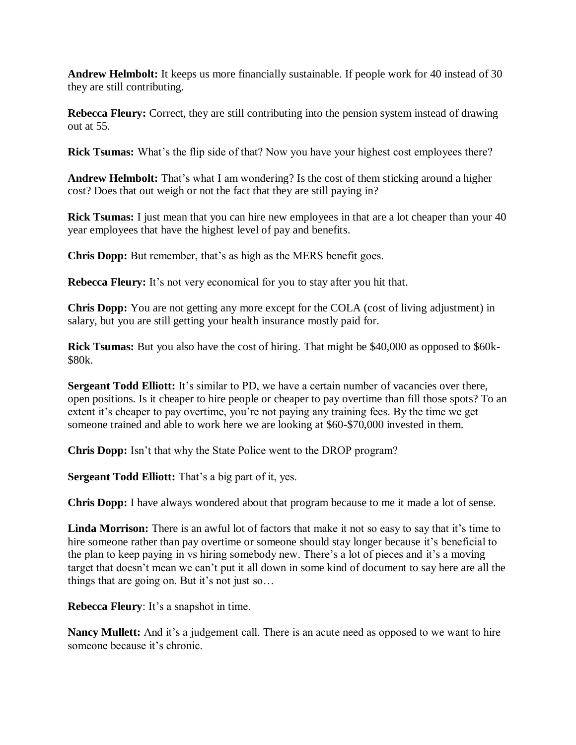**Andrew Helmbolt:** It keeps us more financially sustainable. If people work for 40 instead of 30 they are still contributing.

**Rebecca Fleury:** Correct, they are still contributing into the pension system instead of drawing out at 55.

**Rick Tsumas:** What's the flip side of that? Now you have your highest cost employees there?

**Andrew Helmbolt:** That's what I am wondering? Is the cost of them sticking around a higher cost? Does that out weigh or not the fact that they are still paying in?

**Rick Tsumas:** I just mean that you can hire new employees in that are a lot cheaper than your 40 year employees that have the highest level of pay and benefits.

**Chris Dopp:** But remember, that's as high as the MERS benefit goes.

**Rebecca Fleury:** It's not very economical for you to stay after you hit that.

**Chris Dopp:** You are not getting any more except for the COLA (cost of living adjustment) in salary, but you are still getting your health insurance mostly paid for.

**Rick Tsumas:** But you also have the cost of hiring. That might be \$40,000 as opposed to \$60k-\$80k.

**Sergeant Todd Elliott:** It's similar to PD, we have a certain number of vacancies over there, open positions. Is it cheaper to hire people or cheaper to pay overtime than fill those spots? To an extent it's cheaper to pay overtime, you're not paying any training fees. By the time we get someone trained and able to work here we are looking at \$60-\$70,000 invested in them.

**Chris Dopp:** Isn't that why the State Police went to the DROP program?

**Sergeant Todd Elliott:** That's a big part of it, yes.

**Chris Dopp:** I have always wondered about that program because to me it made a lot of sense.

**Linda Morrison:** There is an awful lot of factors that make it not so easy to say that it's time to hire someone rather than pay overtime or someone should stay longer because it's beneficial to the plan to keep paying in vs hiring somebody new. There's a lot of pieces and it's a moving target that doesn't mean we can't put it all down in some kind of document to say here are all the things that are going on. But it's not just so…

**Rebecca Fleury**: It's a snapshot in time.

**Nancy Mullett:** And it's a judgement call. There is an acute need as opposed to we want to hire someone because it's chronic.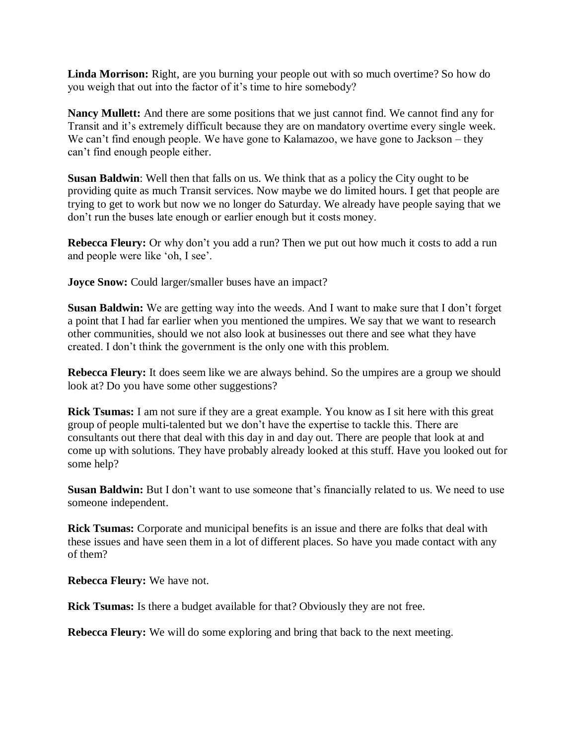Linda Morrison: Right, are you burning your people out with so much overtime? So how do you weigh that out into the factor of it's time to hire somebody?

**Nancy Mullett:** And there are some positions that we just cannot find. We cannot find any for Transit and it's extremely difficult because they are on mandatory overtime every single week. We can't find enough people. We have gone to Kalamazoo, we have gone to Jackson – they can't find enough people either.

**Susan Baldwin**: Well then that falls on us. We think that as a policy the City ought to be providing quite as much Transit services. Now maybe we do limited hours. I get that people are trying to get to work but now we no longer do Saturday. We already have people saying that we don't run the buses late enough or earlier enough but it costs money.

**Rebecca Fleury:** Or why don't you add a run? Then we put out how much it costs to add a run and people were like 'oh, I see'.

**Joyce Snow:** Could larger/smaller buses have an impact?

**Susan Baldwin:** We are getting way into the weeds. And I want to make sure that I don't forget a point that I had far earlier when you mentioned the umpires. We say that we want to research other communities, should we not also look at businesses out there and see what they have created. I don't think the government is the only one with this problem.

**Rebecca Fleury:** It does seem like we are always behind. So the umpires are a group we should look at? Do you have some other suggestions?

**Rick Tsumas:** I am not sure if they are a great example. You know as I sit here with this great group of people multi-talented but we don't have the expertise to tackle this. There are consultants out there that deal with this day in and day out. There are people that look at and come up with solutions. They have probably already looked at this stuff. Have you looked out for some help?

**Susan Baldwin:** But I don't want to use someone that's financially related to us. We need to use someone independent.

**Rick Tsumas:** Corporate and municipal benefits is an issue and there are folks that deal with these issues and have seen them in a lot of different places. So have you made contact with any of them?

**Rebecca Fleury:** We have not.

**Rick Tsumas:** Is there a budget available for that? Obviously they are not free.

**Rebecca Fleury:** We will do some exploring and bring that back to the next meeting.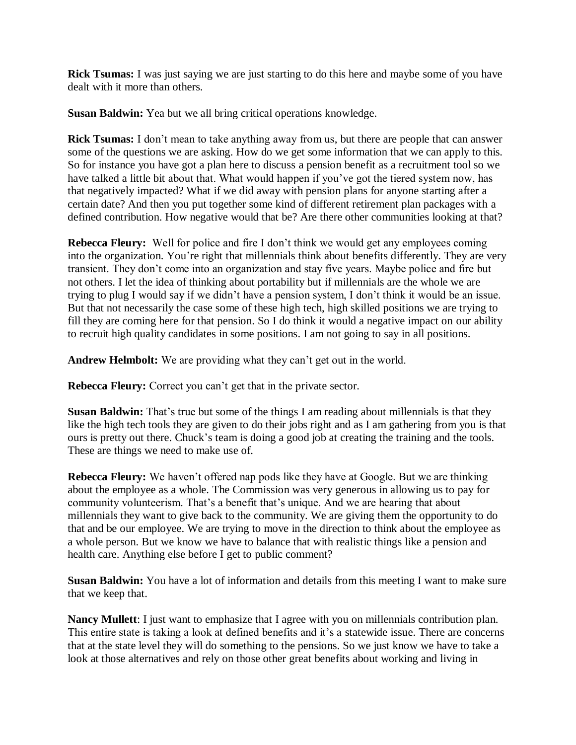**Rick Tsumas:** I was just saying we are just starting to do this here and maybe some of you have dealt with it more than others.

**Susan Baldwin:** Yea but we all bring critical operations knowledge.

**Rick Tsumas:** I don't mean to take anything away from us, but there are people that can answer some of the questions we are asking. How do we get some information that we can apply to this. So for instance you have got a plan here to discuss a pension benefit as a recruitment tool so we have talked a little bit about that. What would happen if you've got the tiered system now, has that negatively impacted? What if we did away with pension plans for anyone starting after a certain date? And then you put together some kind of different retirement plan packages with a defined contribution. How negative would that be? Are there other communities looking at that?

**Rebecca Fleury:** Well for police and fire I don't think we would get any employees coming into the organization. You're right that millennials think about benefits differently. They are very transient. They don't come into an organization and stay five years. Maybe police and fire but not others. I let the idea of thinking about portability but if millennials are the whole we are trying to plug I would say if we didn't have a pension system, I don't think it would be an issue. But that not necessarily the case some of these high tech, high skilled positions we are trying to fill they are coming here for that pension. So I do think it would a negative impact on our ability to recruit high quality candidates in some positions. I am not going to say in all positions.

**Andrew Helmbolt:** We are providing what they can't get out in the world.

**Rebecca Fleury:** Correct you can't get that in the private sector.

**Susan Baldwin:** That's true but some of the things I am reading about millennials is that they like the high tech tools they are given to do their jobs right and as I am gathering from you is that ours is pretty out there. Chuck's team is doing a good job at creating the training and the tools. These are things we need to make use of.

**Rebecca Fleury:** We haven't offered nap pods like they have at Google. But we are thinking about the employee as a whole. The Commission was very generous in allowing us to pay for community volunteerism. That's a benefit that's unique. And we are hearing that about millennials they want to give back to the community. We are giving them the opportunity to do that and be our employee. We are trying to move in the direction to think about the employee as a whole person. But we know we have to balance that with realistic things like a pension and health care. Anything else before I get to public comment?

**Susan Baldwin:** You have a lot of information and details from this meeting I want to make sure that we keep that.

**Nancy Mullett**: I just want to emphasize that I agree with you on millennials contribution plan. This entire state is taking a look at defined benefits and it's a statewide issue. There are concerns that at the state level they will do something to the pensions. So we just know we have to take a look at those alternatives and rely on those other great benefits about working and living in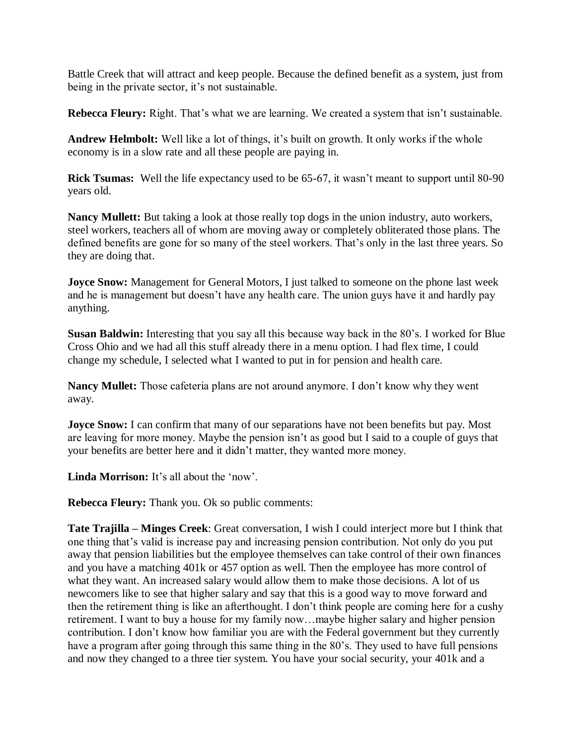Battle Creek that will attract and keep people. Because the defined benefit as a system, just from being in the private sector, it's not sustainable.

**Rebecca Fleury:** Right. That's what we are learning. We created a system that isn't sustainable.

**Andrew Helmbolt:** Well like a lot of things, it's built on growth. It only works if the whole economy is in a slow rate and all these people are paying in.

**Rick Tsumas:** Well the life expectancy used to be 65-67, it wasn't meant to support until 80-90 years old.

**Nancy Mullett:** But taking a look at those really top dogs in the union industry, auto workers, steel workers, teachers all of whom are moving away or completely obliterated those plans. The defined benefits are gone for so many of the steel workers. That's only in the last three years. So they are doing that.

**Joyce Snow:** Management for General Motors, I just talked to someone on the phone last week and he is management but doesn't have any health care. The union guys have it and hardly pay anything.

**Susan Baldwin:** Interesting that you say all this because way back in the 80's. I worked for Blue Cross Ohio and we had all this stuff already there in a menu option. I had flex time, I could change my schedule, I selected what I wanted to put in for pension and health care.

**Nancy Mullet:** Those cafeteria plans are not around anymore. I don't know why they went away.

**Joyce Snow:** I can confirm that many of our separations have not been benefits but pay. Most are leaving for more money. Maybe the pension isn't as good but I said to a couple of guys that your benefits are better here and it didn't matter, they wanted more money.

**Linda Morrison:** It's all about the 'now'.

**Rebecca Fleury:** Thank you. Ok so public comments:

**Tate Trajilla – Minges Creek**: Great conversation, I wish I could interject more but I think that one thing that's valid is increase pay and increasing pension contribution. Not only do you put away that pension liabilities but the employee themselves can take control of their own finances and you have a matching 401k or 457 option as well. Then the employee has more control of what they want. An increased salary would allow them to make those decisions. A lot of us newcomers like to see that higher salary and say that this is a good way to move forward and then the retirement thing is like an afterthought. I don't think people are coming here for a cushy retirement. I want to buy a house for my family now…maybe higher salary and higher pension contribution. I don't know how familiar you are with the Federal government but they currently have a program after going through this same thing in the 80's. They used to have full pensions and now they changed to a three tier system. You have your social security, your 401k and a